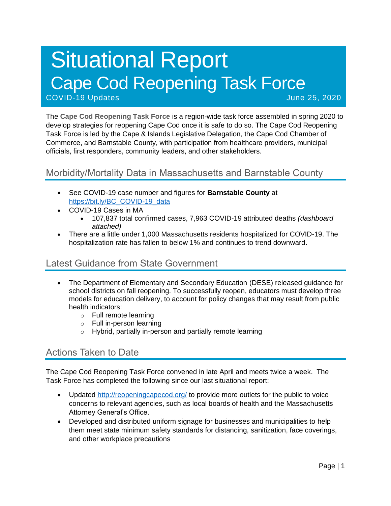# Situational Report Cape Cod Reopening Task Force COVID-19 Updates June 25, 2020

The **Cape Cod Reopening Task Force** is a region-wide task force assembled in spring 2020 to develop strategies for reopening Cape Cod once it is safe to do so. The Cape Cod Reopening Task Force is led by the Cape & Islands Legislative Delegation, the Cape Cod Chamber of Commerce, and Barnstable County, with participation from healthcare providers, municipal officials, first responders, community leaders, and other stakeholders.

# Morbidity/Mortality Data in Massachusetts and Barnstable County

- See COVID-19 case number and figures for **Barnstable County** at [https://bit.ly/BC\\_COVID-19\\_data](https://bit.ly/BC_COVID-19_data)
- COVID-19 Cases in MA
	- 107,837 total confirmed cases, 7,963 COVID-19 attributed deaths *(dashboard attached)*
- There are a little under 1,000 Massachusetts residents hospitalized for COVID-19. The hospitalization rate has fallen to below 1% and continues to trend downward.

## Latest Guidance from State Government

- The Department of Elementary and Secondary Education (DESE) released guidance for school districts on fall reopening. To successfully reopen, educators must develop three models for education delivery, to account for policy changes that may result from public health indicators:
	- o Full remote learning
	- o Full in-person learning
	- o Hybrid, partially in-person and partially remote learning

# Actions Taken to Date

The Cape Cod Reopening Task Force convened in late April and meets twice a week. The Task Force has completed the following since our last situational report:

- Updated<http://reopeningcapecod.org/> to provide more outlets for the public to voice concerns to relevant agencies, such as local boards of health and the Massachusetts Attorney General's Office.
- Developed and distributed uniform signage for businesses and municipalities to help them meet state minimum safety standards for distancing, sanitization, face coverings, and other workplace precautions